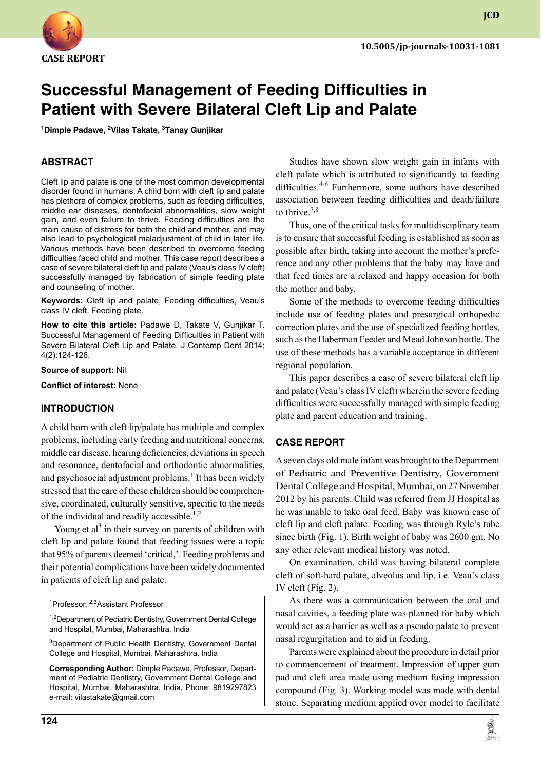

# **Successful Management of Feeding Difficulties in Patient with Severe Bilateral Cleft Lip and Palate**

**1 Dimple Padawe, 2 Vilas Takate, 3 Tanay Gunjikar**

### **ABSTRACT**

Cleft lip and palate is one of the most common developmental disorder found in humans. A child born with cleft lip and palate has plethora of complex problems, such as feeding difficulties, middle ear diseases, dentofacial abnormalities, slow weight gain, and even failure to thrive. Feeding difficulties are the main cause of distress for both the child and mother, and may also lead to psychological maladjustment of child in later life. Various methods have been described to overcome feeding difficulties faced child and mother. This case report describes a case of severe bilateral cleft lip and palate (Veau's class IV cleft) successfully managed by fabrication of simple feeding plate and counseling of mother.

**Keywords:** Cleft lip and palate, feeding difficulties, Veau's class IV cleft, Feeding plate.

**How to cite this article:** Padawe D, Takate V, Gunjikar T. Successful Management of Feeding Difficulties in Patient with Severe Bilateral Cleft Lip and Palate. J Contemp Dent 2014; 4(2):124-126.

**Source of support:** Nil

**Conflict of interest:** None

#### **Introduction**

A child born with cleft lip/palate has multiple and complex problems, including early feeding and nutritional concerns, middle ear disease, hearing deficiencies, deviations in speech and resonance, dentofacial and orthodontic abnormalities, and psychosocial adjustment problems.<sup>1</sup> It has been widely stressed that the care of these children should be comprehensive, coordinated, culturally sensitive, specific to the needs of the individual and readily accessible.<sup>1,2</sup>

Young et al<sup>3</sup> in their survey on parents of children with cleft lip and palate found that feeding issues were a topic that 95% of parents deemed 'critical,'. Feeding problems and their potential complications have been widely documented in patients of cleft lip and palate.

<sup>1</sup>Professor, <sup>2,3</sup>Assistant Professor

<sup>1,2</sup>Department of Pediatric Dentistry, Government Dental College and Hospital, Mumbai, Maharashtra, India

<sup>3</sup>Department of Public Health Dentistry, Government Dental College and Hospital, Mumbai, Maharashtra, India

**Corresponding Author:** Dimple Padawe, Professor, Department of Pediatric Dentistry, Government Dental College and Hospital, Mumbai, Maharashtra, India, Phone: 9819297823 e-mail: vilastakate@gmail.com

Studies have shown slow weight gain in infants with cleft palate which is attributed to significantly to feeding difficulties.<sup>4-6</sup> Furthermore, some authors have described association between feeding difficulties and death/failure to thrive. $7,8$ 

Thus, one of the critical tasks for multidisciplinary team is to ensure that successful feeding is established as soon as possible after birth, taking into account the mother's preference and any other problems that the baby may have and that feed times are a relaxed and happy occasion for both the mother and baby.

Some of the methods to overcome feeding difficulties include use of feeding plates and presurgical orthopedic correction plates and the use of specialized feeding bottles, such as the Haberman feeder and Mead Johnson bottle. The use of these methods has a variable acceptance in different regional population.

This paper describes a case of severe bilateral cleft lip and palate (Veau's class IV cleft) wherein the severe feeding difficulties were successfully managed with simple feeding plate and parent education and training.

#### **Case report**

A seven days old male infant was brought to the Department of Pediatric and Preventive Dentistry, Government Dental College and Hospital, Mumbai, on 27 November 2012 by his parents. Child was referred from JJ Hospital as he was unable to take oral feed. Baby was known case of cleft lip and cleft palate. Feeding was through Ryle's tube since birth (Fig. 1). Birth weight of baby was 2600 gm. No any other relevant medical history was noted.

On examination, child was having bilateral complete cleft of soft-hard palate, alveolus and lip, i.e. Veau's class IV cleft (Fig. 2).

As there was a communication between the oral and nasal cavities, a feeding plate was planned for baby which would act as a barrier as well as a pseudo palate to prevent nasal regurgitation and to aid in feeding.

Parents were explained about the procedure in detail prior to commencement of treatment. Impression of upper gum pad and cleft area made using medium fusing impression compound (Fig. 3). Working model was made with dental stone. Separating medium applied over model to facilitate



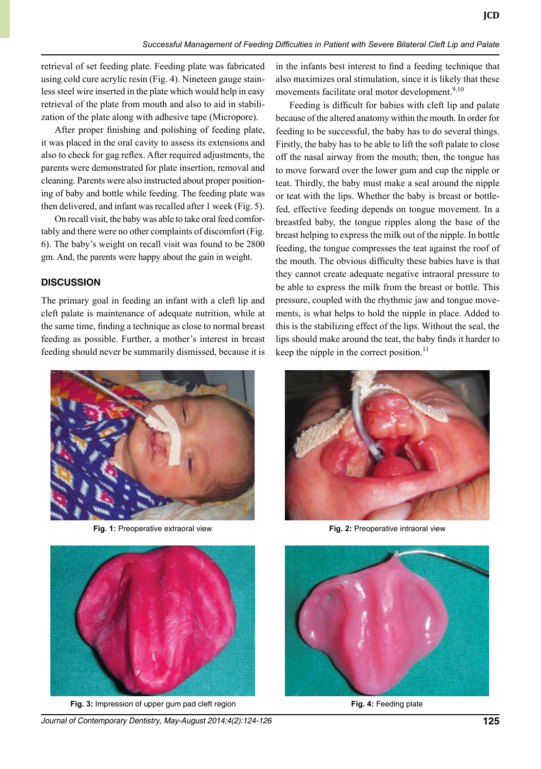retrieval of set feeding plate. Feeding plate was fabricated using cold cure acrylic resin (Fig. 4). Nineteen gauge stainless steel wire inserted in the plate which would help in easy retrieval of the plate from mouth and also to aid in stabilization of the plate along with adhesive tape (micropore).

After proper finishing and polishing of feeding plate, it was placed in the oral cavity to assess its extensions and also to check for gag reflex. After required adjustments, the parents were demonstrated for plate insertion, removal and cleaning. Parents were also instructed about proper positioning of baby and bottle while feeding. The feeding plate was then delivered, and infant was recalled after 1 week (Fig. 5).

On recall visit, the baby was able to take oral feed comfortably and there were no other complaints of discomfort (Fig. 6). The baby's weight on recall visit was found to be 2800 gm. And, the parents were happy about the gain in weight.

#### **Discussion**

The primary goal in feeding an infant with a cleft lip and cleft palate is maintenance of adequate nutrition, while at the same time, finding a technique as close to normal breast feeding as possible. Further, a mother's interest in breast feeding should never be summarily dismissed, because it is





**Fig. 3:** Impression of upper gum pad cleft region **Fig. 4:** Feeding plate

*Journal of Contemporary Dentistry, May-August 2014;4(2):124-126* **125**

in the infants best interest to find a feeding technique that also maximizes oral stimulation, since it is likely that these movements facilitate oral motor development.<sup>9,10</sup>

Feeding is difficult for babies with cleft lip and palate because of the altered anatomy within the mouth. In order for feeding to be successful, the baby has to do several things. Firstly, the baby has to be able to lift the soft palate to close off the nasal airway from the mouth; then, the tongue has to move forward over the lower gum and cup the nipple or teat. Thirdly, the baby must make a seal around the nipple or teat with the lips. Whether the baby is breast or bottlefed, effective feeding depends on tongue movement. In a breastfed baby, the tongue ripples along the base of the breast helping to express the milk out of the nipple. In bottle feeding, the tongue compresses the teat against the roof of the mouth. The obvious difficulty these babies have is that they cannot create adequate negative intraoral pressure to be able to express the milk from the breast or bottle. This pressure, coupled with the rhythmic jaw and tongue movements, is what helps to hold the nipple in place. Added to this is the stabilizing effect of the lips. Without the seal, the lips should make around the teat, the baby finds it harder to keep the nipple in the correct position.<sup>11</sup>



**Fig. 1:** Preoperative extraoral view **Fig. 2:** Preoperative intraoral view